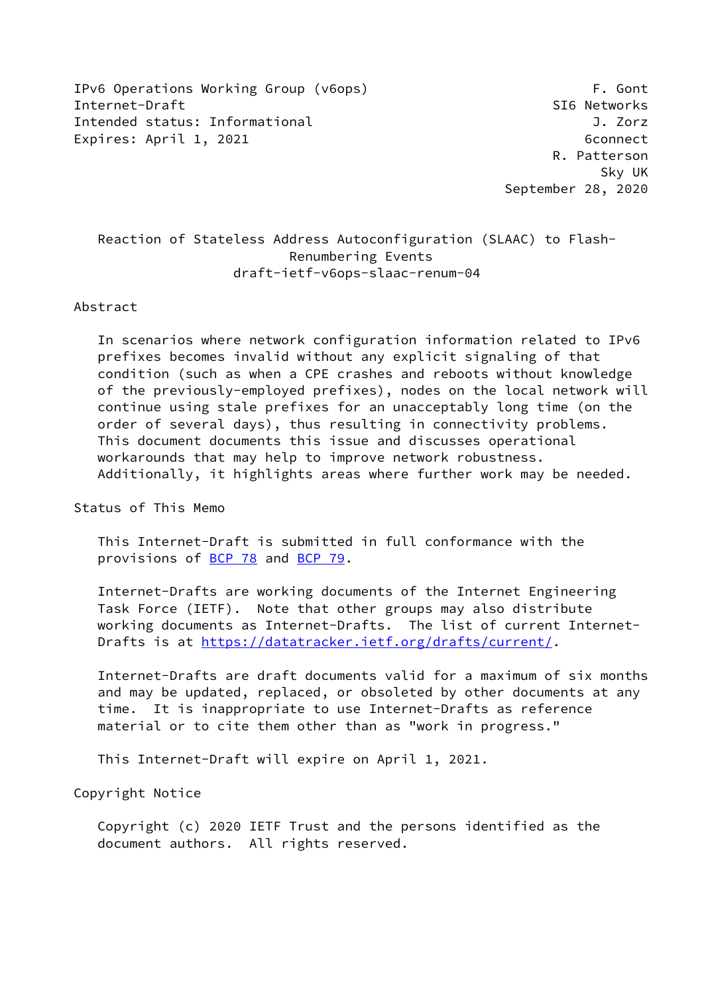IPv6 Operations Working Group (v6ops) The Contract of the Contract of the Contract of the Contract of the Cont Internet-Draft SI6 Networks Intended status: Informational J. Zorz Expires: April 1, 2021 6connect

 R. Patterson Sky UK September 28, 2020

# Reaction of Stateless Address Autoconfiguration (SLAAC) to Flash- Renumbering Events draft-ietf-v6ops-slaac-renum-04

#### Abstract

 In scenarios where network configuration information related to IPv6 prefixes becomes invalid without any explicit signaling of that condition (such as when a CPE crashes and reboots without knowledge of the previously-employed prefixes), nodes on the local network will continue using stale prefixes for an unacceptably long time (on the order of several days), thus resulting in connectivity problems. This document documents this issue and discusses operational workarounds that may help to improve network robustness. Additionally, it highlights areas where further work may be needed.

Status of This Memo

 This Internet-Draft is submitted in full conformance with the provisions of [BCP 78](https://datatracker.ietf.org/doc/pdf/bcp78) and [BCP 79](https://datatracker.ietf.org/doc/pdf/bcp79).

 Internet-Drafts are working documents of the Internet Engineering Task Force (IETF). Note that other groups may also distribute working documents as Internet-Drafts. The list of current Internet- Drafts is at<https://datatracker.ietf.org/drafts/current/>.

 Internet-Drafts are draft documents valid for a maximum of six months and may be updated, replaced, or obsoleted by other documents at any time. It is inappropriate to use Internet-Drafts as reference material or to cite them other than as "work in progress."

This Internet-Draft will expire on April 1, 2021.

Copyright Notice

 Copyright (c) 2020 IETF Trust and the persons identified as the document authors. All rights reserved.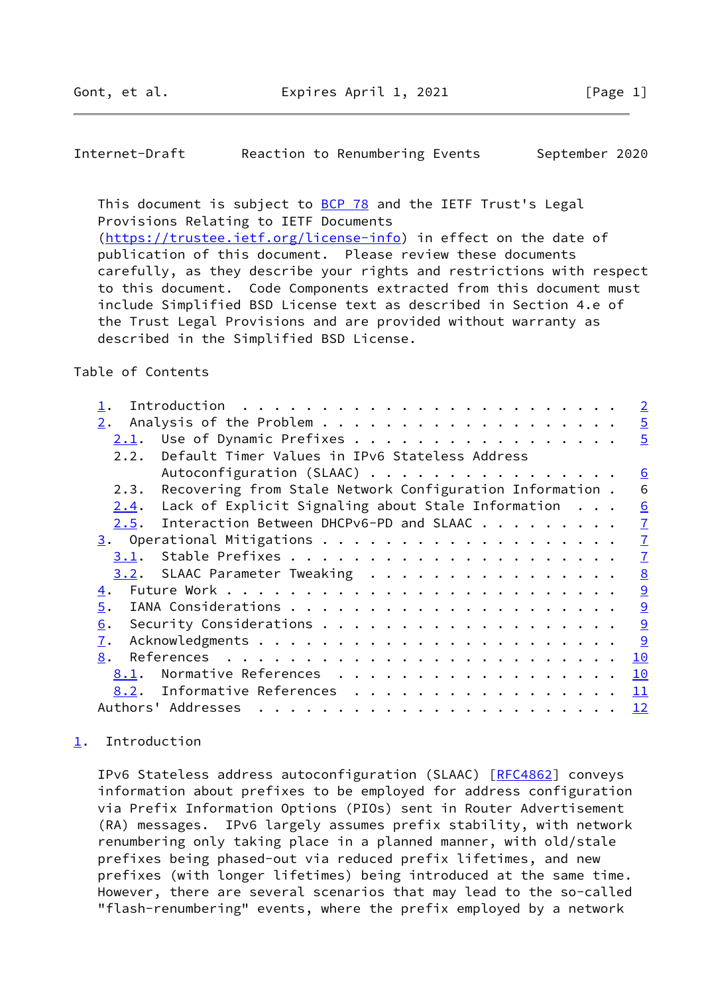<span id="page-1-1"></span>Internet-Draft Reaction to Renumbering Events September 2020

This document is subject to [BCP 78](https://datatracker.ietf.org/doc/pdf/bcp78) and the IETF Trust's Legal Provisions Relating to IETF Documents [\(https://trustee.ietf.org/license-info](https://trustee.ietf.org/license-info)) in effect on the date of publication of this document. Please review these documents carefully, as they describe your rights and restrictions with respect

 to this document. Code Components extracted from this document must include Simplified BSD License text as described in Section 4.e of the Trust Legal Provisions and are provided without warranty as described in the Simplified BSD License.

#### Table of Contents

|      |                                                           | $\overline{2}$  |
|------|-----------------------------------------------------------|-----------------|
| 2.   |                                                           | $\overline{5}$  |
| 2.1. | Use of Dynamic Prefixes                                   | $\overline{5}$  |
| 2.2. | Default Timer Values in IPv6 Stateless Address            |                 |
|      | Autoconfiguration (SLAAC)                                 | $\underline{6}$ |
| 2.3. | Recovering from Stale Network Configuration Information . | 6               |
| 2.4. | Lack of Explicit Signaling about Stale Information        | 6               |
| 2.5. | Interaction Between DHCPv6-PD and SLAAC                   | $\overline{1}$  |
|      |                                                           | $\overline{1}$  |
| 3.1. |                                                           | $\overline{1}$  |
|      | 3.2. SLAAC Parameter Tweaking                             | 8               |
| 4.   |                                                           | $\overline{9}$  |
| 5.   |                                                           | $\overline{9}$  |
| 6.   |                                                           | $\overline{9}$  |
| 7.   |                                                           | 9               |
| 8.   |                                                           | 10              |
| 8.1. | Normative References                                      | 10              |
| 8.2. | Informative References<br>11                              |                 |
|      | Authors' Addresses<br>12                                  |                 |

## <span id="page-1-0"></span>[1](#page-1-0). Introduction

 IPv6 Stateless address autoconfiguration (SLAAC) [\[RFC4862](https://datatracker.ietf.org/doc/pdf/rfc4862)] conveys information about prefixes to be employed for address configuration via Prefix Information Options (PIOs) sent in Router Advertisement (RA) messages. IPv6 largely assumes prefix stability, with network renumbering only taking place in a planned manner, with old/stale prefixes being phased-out via reduced prefix lifetimes, and new prefixes (with longer lifetimes) being introduced at the same time. However, there are several scenarios that may lead to the so-called "flash-renumbering" events, where the prefix employed by a network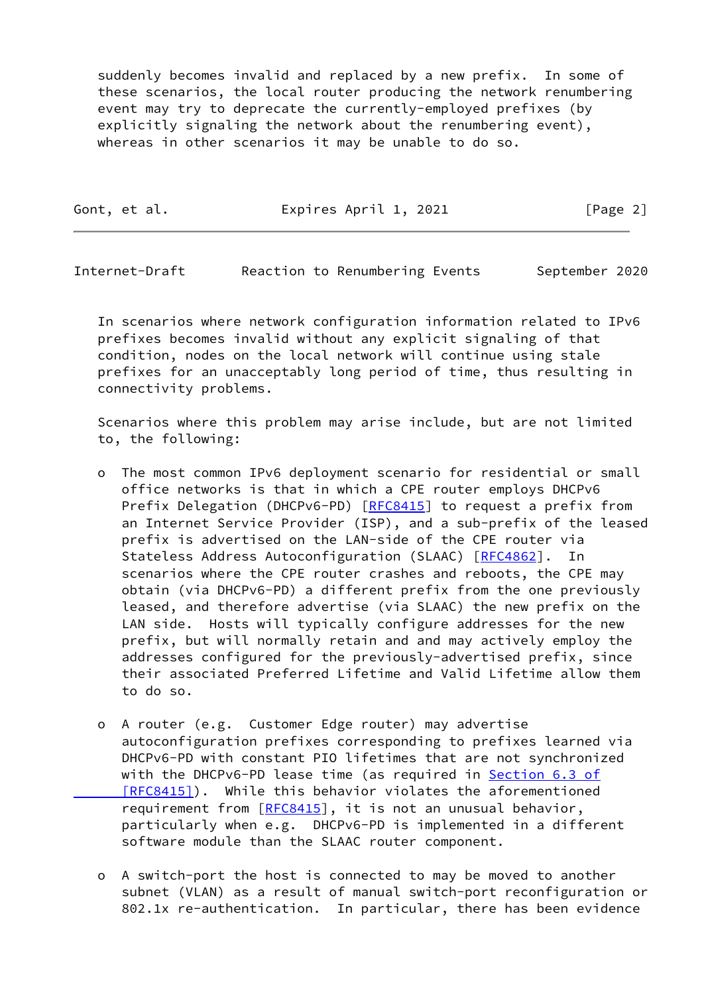suddenly becomes invalid and replaced by a new prefix. In some of these scenarios, the local router producing the network renumbering event may try to deprecate the currently-employed prefixes (by explicitly signaling the network about the renumbering event), whereas in other scenarios it may be unable to do so.

| Gont, et al. | Expires April 1, 2021 | [Page 2] |
|--------------|-----------------------|----------|
|              |                       |          |

Internet-Draft Reaction to Renumbering Events September 2020

 In scenarios where network configuration information related to IPv6 prefixes becomes invalid without any explicit signaling of that condition, nodes on the local network will continue using stale prefixes for an unacceptably long period of time, thus resulting in connectivity problems.

 Scenarios where this problem may arise include, but are not limited to, the following:

- o The most common IPv6 deployment scenario for residential or small office networks is that in which a CPE router employs DHCPv6 Prefix Delegation (DHCPv6-PD) [\[RFC8415](https://datatracker.ietf.org/doc/pdf/rfc8415)] to request a prefix from an Internet Service Provider (ISP), and a sub-prefix of the leased prefix is advertised on the LAN-side of the CPE router via Stateless Address Autoconfiguration (SLAAC) [\[RFC4862](https://datatracker.ietf.org/doc/pdf/rfc4862)]. In scenarios where the CPE router crashes and reboots, the CPE may obtain (via DHCPv6-PD) a different prefix from the one previously leased, and therefore advertise (via SLAAC) the new prefix on the LAN side. Hosts will typically configure addresses for the new prefix, but will normally retain and and may actively employ the addresses configured for the previously-advertised prefix, since their associated Preferred Lifetime and Valid Lifetime allow them to do so.
- o A router (e.g. Customer Edge router) may advertise autoconfiguration prefixes corresponding to prefixes learned via DHCPv6-PD with constant PIO lifetimes that are not synchronized with the DHCPv6-PD lease time (as required in [Section](https://datatracker.ietf.org/doc/pdf/rfc8415#section-6.3) 6.3 of  [\[RFC8415\]](https://datatracker.ietf.org/doc/pdf/rfc8415#section-6.3)). While this behavior violates the aforementioned requirement from  $[REC8415]$ , it is not an unusual behavior, particularly when e.g. DHCPv6-PD is implemented in a different software module than the SLAAC router component.
- o A switch-port the host is connected to may be moved to another subnet (VLAN) as a result of manual switch-port reconfiguration or 802.1x re-authentication. In particular, there has been evidence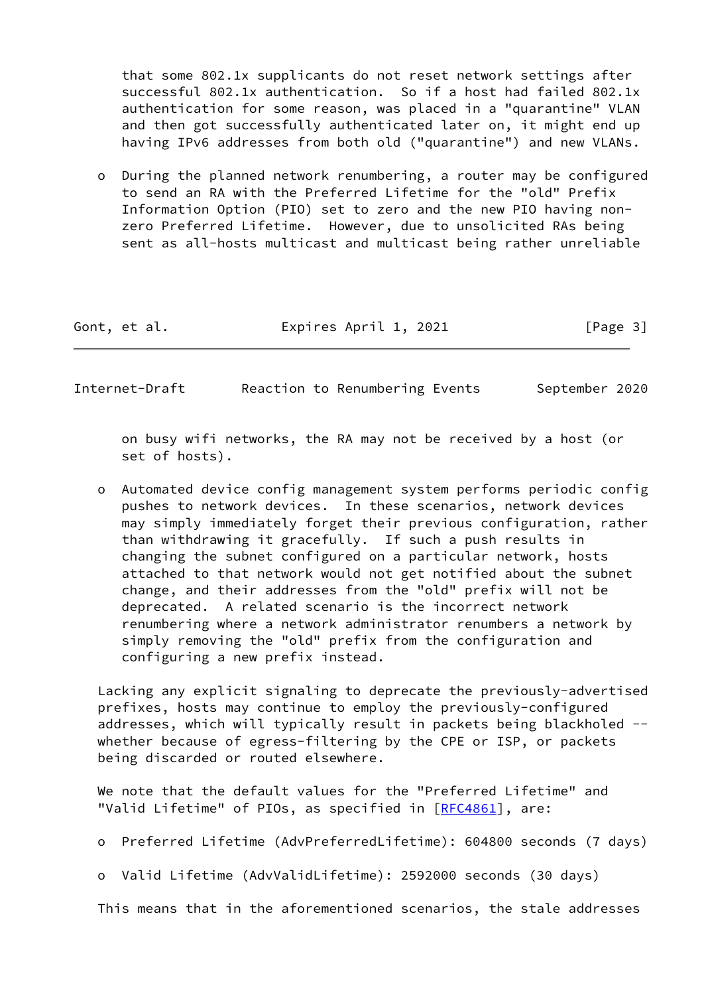that some 802.1x supplicants do not reset network settings after successful 802.1x authentication. So if a host had failed 802.1x authentication for some reason, was placed in a "quarantine" VLAN and then got successfully authenticated later on, it might end up having IPv6 addresses from both old ("quarantine") and new VLANs.

 o During the planned network renumbering, a router may be configured to send an RA with the Preferred Lifetime for the "old" Prefix Information Option (PIO) set to zero and the new PIO having non zero Preferred Lifetime. However, due to unsolicited RAs being sent as all-hosts multicast and multicast being rather unreliable

| Gont, et al. | Expires April 1, 2021 | [Page 3] |
|--------------|-----------------------|----------|
|--------------|-----------------------|----------|

Internet-Draft Reaction to Renumbering Events September 2020

 on busy wifi networks, the RA may not be received by a host (or set of hosts).

 o Automated device config management system performs periodic config pushes to network devices. In these scenarios, network devices may simply immediately forget their previous configuration, rather than withdrawing it gracefully. If such a push results in changing the subnet configured on a particular network, hosts attached to that network would not get notified about the subnet change, and their addresses from the "old" prefix will not be deprecated. A related scenario is the incorrect network renumbering where a network administrator renumbers a network by simply removing the "old" prefix from the configuration and configuring a new prefix instead.

 Lacking any explicit signaling to deprecate the previously-advertised prefixes, hosts may continue to employ the previously-configured addresses, which will typically result in packets being blackholed - whether because of egress-filtering by the CPE or ISP, or packets being discarded or routed elsewhere.

 We note that the default values for the "Preferred Lifetime" and "Valid Lifetime" of PIOs, as specified in [[RFC4861](https://datatracker.ietf.org/doc/pdf/rfc4861)], are:

- o Preferred Lifetime (AdvPreferredLifetime): 604800 seconds (7 days)
- o Valid Lifetime (AdvValidLifetime): 2592000 seconds (30 days)

This means that in the aforementioned scenarios, the stale addresses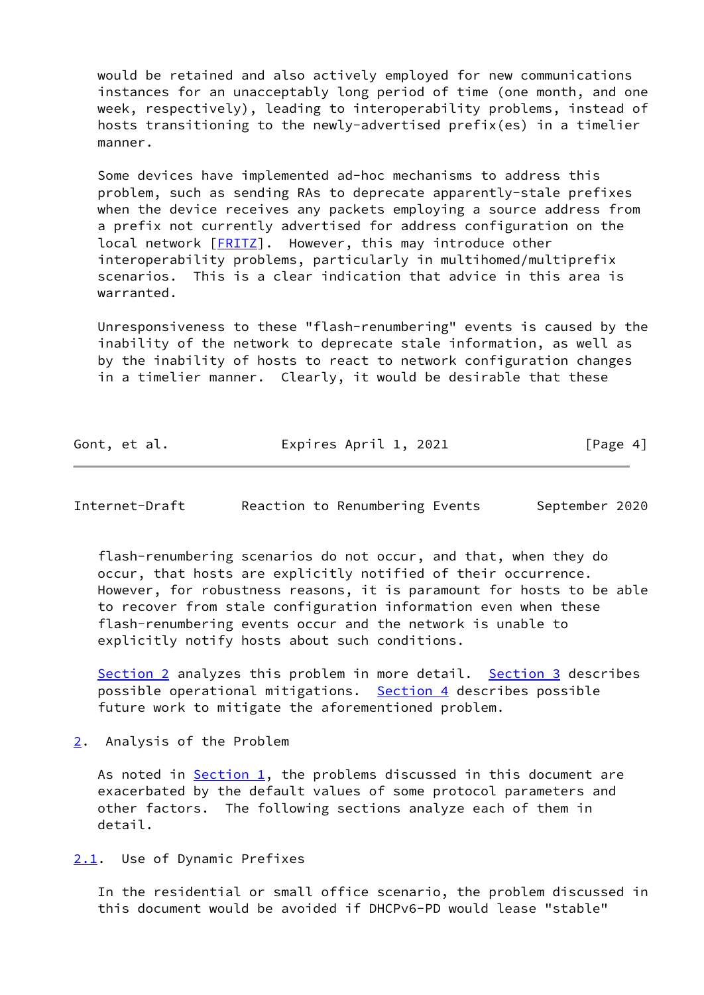would be retained and also actively employed for new communications instances for an unacceptably long period of time (one month, and one week, respectively), leading to interoperability problems, instead of hosts transitioning to the newly-advertised prefix(es) in a timelier manner.

 Some devices have implemented ad-hoc mechanisms to address this problem, such as sending RAs to deprecate apparently-stale prefixes when the device receives any packets employing a source address from a prefix not currently advertised for address configuration on the local network [[FRITZ\]](#page-11-2). However, this may introduce other interoperability problems, particularly in multihomed/multiprefix scenarios. This is a clear indication that advice in this area is warranted.

 Unresponsiveness to these "flash-renumbering" events is caused by the inability of the network to deprecate stale information, as well as by the inability of hosts to react to network configuration changes in a timelier manner. Clearly, it would be desirable that these

| Gont, et al. | Expires April 1, 2021 | [Page 4] |
|--------------|-----------------------|----------|
|              |                       |          |

<span id="page-4-1"></span>Internet-Draft Reaction to Renumbering Events September 2020

 flash-renumbering scenarios do not occur, and that, when they do occur, that hosts are explicitly notified of their occurrence. However, for robustness reasons, it is paramount for hosts to be able to recover from stale configuration information even when these flash-renumbering events occur and the network is unable to explicitly notify hosts about such conditions.

[Section 2](#page-4-0) analyzes this problem in more detail. [Section 3](#page-7-1) describes possible operational mitigations. [Section 4](#page-9-0) describes possible future work to mitigate the aforementioned problem.

<span id="page-4-0"></span>[2](#page-4-0). Analysis of the Problem

 As noted in [Section 1,](#page-1-0) the problems discussed in this document are exacerbated by the default values of some protocol parameters and other factors. The following sections analyze each of them in detail.

<span id="page-4-2"></span>[2.1](#page-4-2). Use of Dynamic Prefixes

 In the residential or small office scenario, the problem discussed in this document would be avoided if DHCPv6-PD would lease "stable"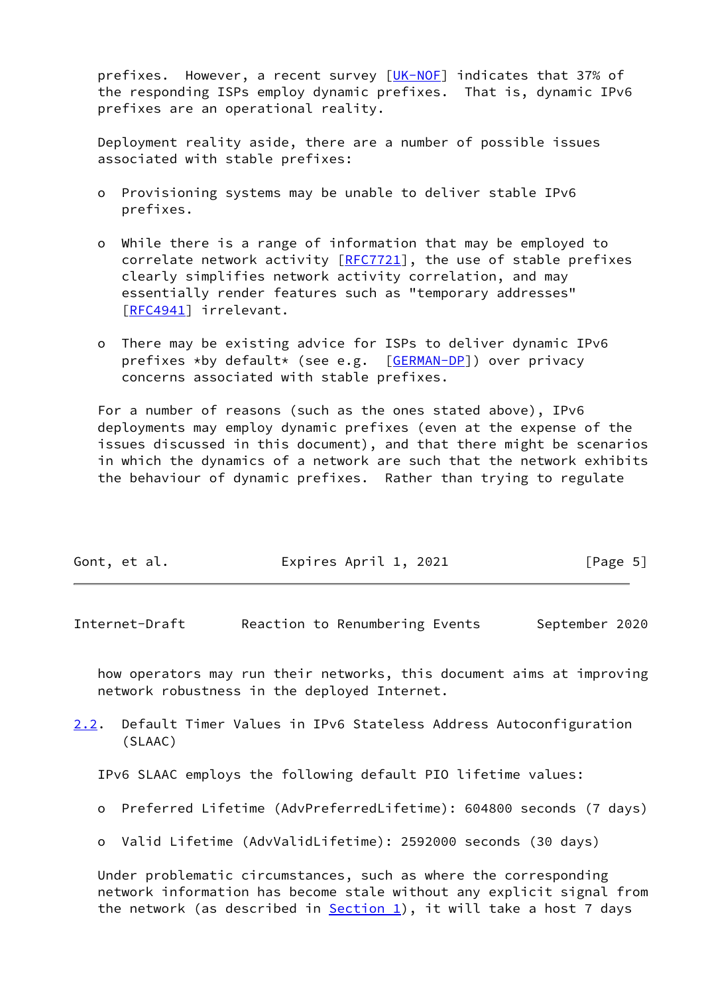prefixes. However, a recent survey [\[UK-NOF](#page-13-0)] indicates that 37% of the responding ISPs employ dynamic prefixes. That is, dynamic IPv6 prefixes are an operational reality.

 Deployment reality aside, there are a number of possible issues associated with stable prefixes:

- o Provisioning systems may be unable to deliver stable IPv6 prefixes.
- o While there is a range of information that may be employed to correlate network activity  $[REC7721]$ , the use of stable prefixes clearly simplifies network activity correlation, and may essentially render features such as "temporary addresses" [[RFC4941\]](https://datatracker.ietf.org/doc/pdf/rfc4941) irrelevant.
- o There may be existing advice for ISPs to deliver dynamic IPv6 prefixes \*by default\* (see e.g. [\[GERMAN-DP](#page-11-3)]) over privacy concerns associated with stable prefixes.

 For a number of reasons (such as the ones stated above), IPv6 deployments may employ dynamic prefixes (even at the expense of the issues discussed in this document), and that there might be scenarios in which the dynamics of a network are such that the network exhibits the behaviour of dynamic prefixes. Rather than trying to regulate

| Gont, et al. | Expires April 1, 2021 | [Page 5] |
|--------------|-----------------------|----------|
|              |                       |          |

<span id="page-5-0"></span>Internet-Draft Reaction to Renumbering Events September 2020

 how operators may run their networks, this document aims at improving network robustness in the deployed Internet.

<span id="page-5-1"></span>[2.2](#page-5-1). Default Timer Values in IPv6 Stateless Address Autoconfiguration (SLAAC)

IPv6 SLAAC employs the following default PIO lifetime values:

- o Preferred Lifetime (AdvPreferredLifetime): 604800 seconds (7 days)
- o Valid Lifetime (AdvValidLifetime): 2592000 seconds (30 days)

 Under problematic circumstances, such as where the corresponding network information has become stale without any explicit signal from the network (as described in  $Section 1$ ), it will take a host 7 days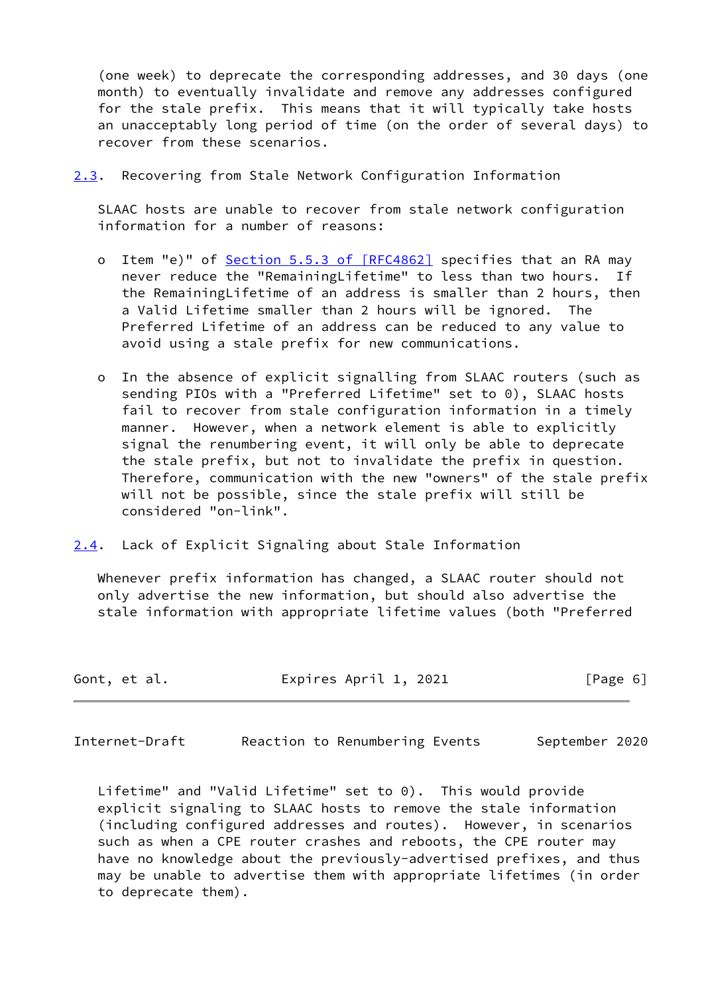(one week) to deprecate the corresponding addresses, and 30 days (one month) to eventually invalidate and remove any addresses configured for the stale prefix. This means that it will typically take hosts an unacceptably long period of time (on the order of several days) to recover from these scenarios.

<span id="page-6-2"></span>[2.3](#page-6-2). Recovering from Stale Network Configuration Information

 SLAAC hosts are unable to recover from stale network configuration information for a number of reasons:

- o Item "e)" of Section [5.5.3 of \[RFC4862\]](https://datatracker.ietf.org/doc/pdf/rfc4862#section-5.5.3) specifies that an RA may never reduce the "RemainingLifetime" to less than two hours. If the RemainingLifetime of an address is smaller than 2 hours, then a Valid Lifetime smaller than 2 hours will be ignored. The Preferred Lifetime of an address can be reduced to any value to avoid using a stale prefix for new communications.
- o In the absence of explicit signalling from SLAAC routers (such as sending PIOs with a "Preferred Lifetime" set to 0), SLAAC hosts fail to recover from stale configuration information in a timely manner. However, when a network element is able to explicitly signal the renumbering event, it will only be able to deprecate the stale prefix, but not to invalidate the prefix in question. Therefore, communication with the new "owners" of the stale prefix will not be possible, since the stale prefix will still be considered "on-link".
- <span id="page-6-0"></span>[2.4](#page-6-0). Lack of Explicit Signaling about Stale Information

 Whenever prefix information has changed, a SLAAC router should not only advertise the new information, but should also advertise the stale information with appropriate lifetime values (both "Preferred

| Expires April 1, 2021<br>Gont, et al. | [Page 6] |
|---------------------------------------|----------|
|---------------------------------------|----------|

<span id="page-6-1"></span>Internet-Draft Reaction to Renumbering Events September 2020

 Lifetime" and "Valid Lifetime" set to 0). This would provide explicit signaling to SLAAC hosts to remove the stale information (including configured addresses and routes). However, in scenarios such as when a CPE router crashes and reboots, the CPE router may have no knowledge about the previously-advertised prefixes, and thus may be unable to advertise them with appropriate lifetimes (in order to deprecate them).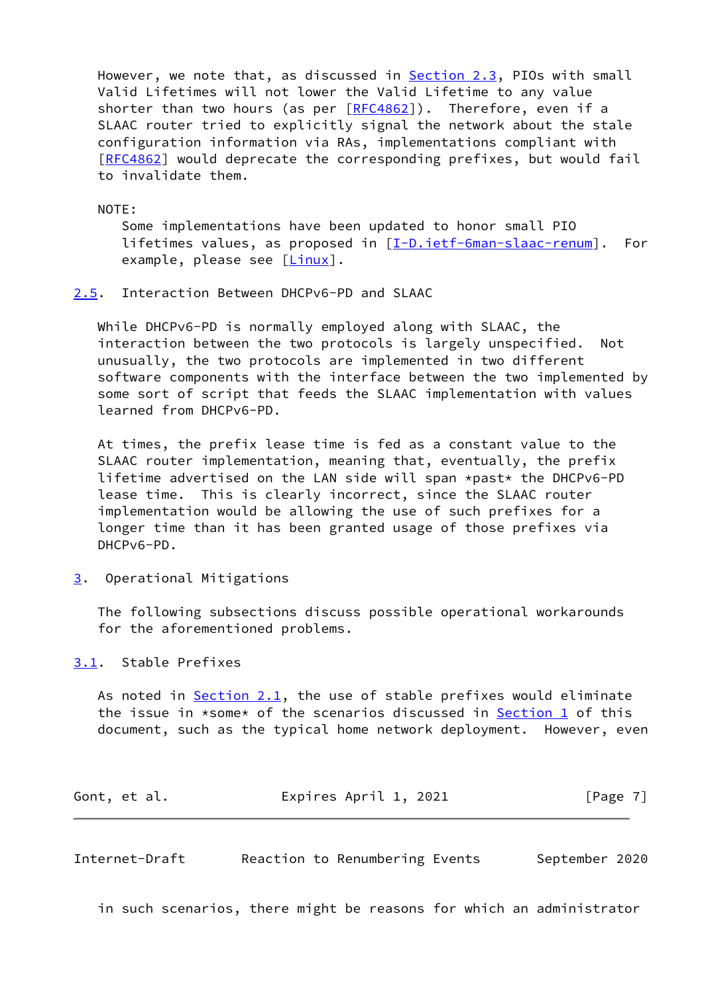However, we note that, as discussed in [Section 2.3](#page-6-2), PIOs with small Valid Lifetimes will not lower the Valid Lifetime to any value shorter than two hours (as per [\[RFC4862](https://datatracker.ietf.org/doc/pdf/rfc4862)]). Therefore, even if a SLAAC router tried to explicitly signal the network about the stale configuration information via RAs, implementations compliant with [\[RFC4862](https://datatracker.ietf.org/doc/pdf/rfc4862)] would deprecate the corresponding prefixes, but would fail to invalidate them.

NOTE:

 Some implementations have been updated to honor small PIO lifetimes values, as proposed in [\[I-D.ietf-6man-slaac-renum](#page-11-4)]. For example, please see  $[\text{Linux}]$ .

<span id="page-7-0"></span>[2.5](#page-7-0). Interaction Between DHCPv6-PD and SLAAC

 While DHCPv6-PD is normally employed along with SLAAC, the interaction between the two protocols is largely unspecified. Not unusually, the two protocols are implemented in two different software components with the interface between the two implemented by some sort of script that feeds the SLAAC implementation with values learned from DHCPv6-PD.

 At times, the prefix lease time is fed as a constant value to the SLAAC router implementation, meaning that, eventually, the prefix lifetime advertised on the LAN side will span \*past\* the DHCPv6-PD lease time. This is clearly incorrect, since the SLAAC router implementation would be allowing the use of such prefixes for a longer time than it has been granted usage of those prefixes via DHCPv6-PD.

<span id="page-7-1"></span>[3](#page-7-1). Operational Mitigations

 The following subsections discuss possible operational workarounds for the aforementioned problems.

<span id="page-7-2"></span>[3.1](#page-7-2). Stable Prefixes

As noted in [Section 2.1,](#page-4-2) the use of stable prefixes would eliminate the issue in  $\star$ some $\star$  of the scenarios discussed in [Section 1](#page-1-0) of this document, such as the typical home network deployment. However, even

Gont, et al. **Expires April 1, 2021** [Page 7]

<span id="page-7-3"></span>Internet-Draft Reaction to Renumbering Events September 2020

in such scenarios, there might be reasons for which an administrator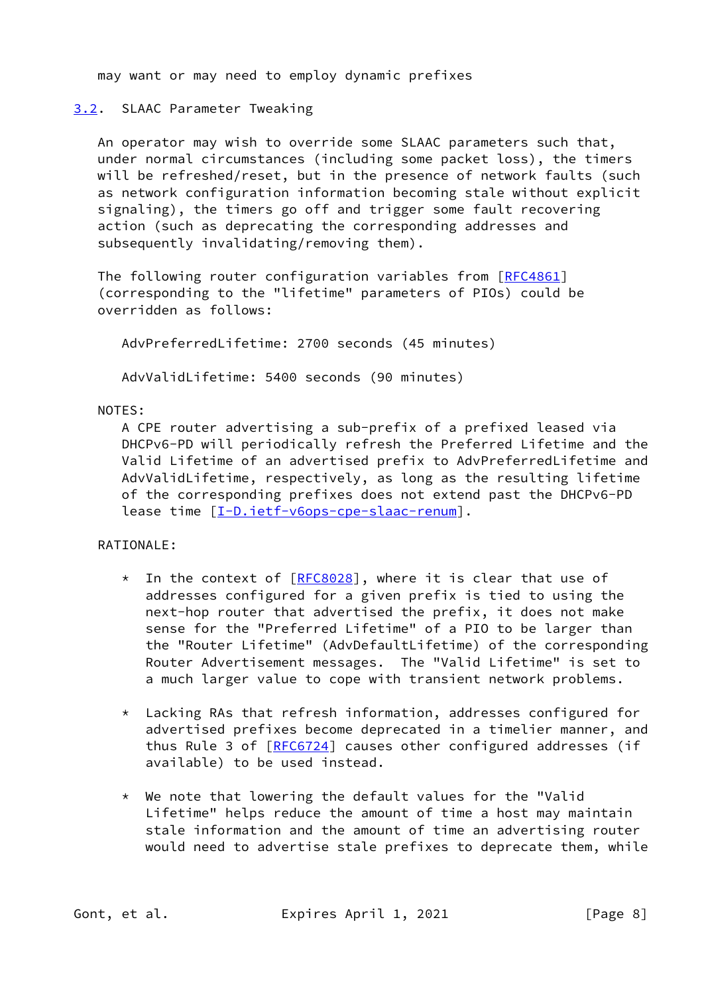may want or may need to employ dynamic prefixes

#### <span id="page-8-0"></span>[3.2](#page-8-0). SLAAC Parameter Tweaking

 An operator may wish to override some SLAAC parameters such that, under normal circumstances (including some packet loss), the timers will be refreshed/reset, but in the presence of network faults (such as network configuration information becoming stale without explicit signaling), the timers go off and trigger some fault recovering action (such as deprecating the corresponding addresses and subsequently invalidating/removing them).

The following router configuration variables from [[RFC4861](https://datatracker.ietf.org/doc/pdf/rfc4861)] (corresponding to the "lifetime" parameters of PIOs) could be overridden as follows:

AdvPreferredLifetime: 2700 seconds (45 minutes)

AdvValidLifetime: 5400 seconds (90 minutes)

## NOTES:

 A CPE router advertising a sub-prefix of a prefixed leased via DHCPv6-PD will periodically refresh the Preferred Lifetime and the Valid Lifetime of an advertised prefix to AdvPreferredLifetime and AdvValidLifetime, respectively, as long as the resulting lifetime of the corresponding prefixes does not extend past the DHCPv6-PD lease time [[I-D.ietf-v6ops-cpe-slaac-renum](#page-11-5)].

# RATIONALE:

- \* In the context of [\[RFC8028](https://datatracker.ietf.org/doc/pdf/rfc8028)], where it is clear that use of addresses configured for a given prefix is tied to using the next-hop router that advertised the prefix, it does not make sense for the "Preferred Lifetime" of a PIO to be larger than the "Router Lifetime" (AdvDefaultLifetime) of the corresponding Router Advertisement messages. The "Valid Lifetime" is set to a much larger value to cope with transient network problems.
- \* Lacking RAs that refresh information, addresses configured for advertised prefixes become deprecated in a timelier manner, and thus Rule 3 of [\[RFC6724](https://datatracker.ietf.org/doc/pdf/rfc6724)] causes other configured addresses (if available) to be used instead.
- \* We note that lowering the default values for the "Valid Lifetime" helps reduce the amount of time a host may maintain stale information and the amount of time an advertising router would need to advertise stale prefixes to deprecate them, while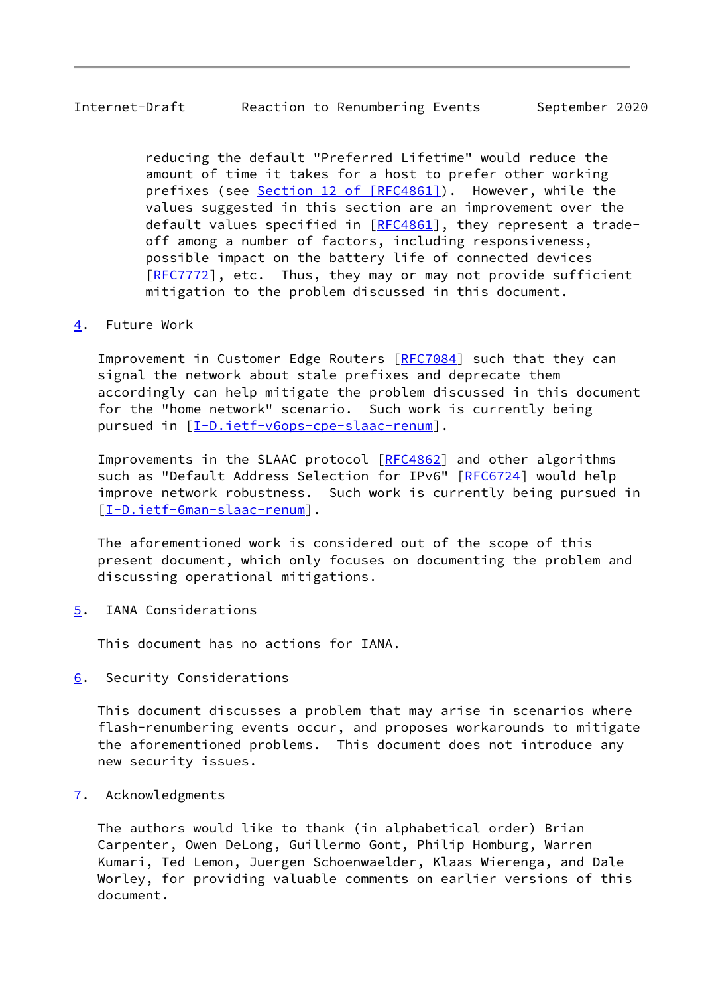# <span id="page-9-1"></span>Internet-Draft Reaction to Renumbering Events September 2020

 reducing the default "Preferred Lifetime" would reduce the amount of time it takes for a host to prefer other working prefixes (see Section [12 of \[RFC4861\]\)](https://datatracker.ietf.org/doc/pdf/rfc4861#section-12). However, while the values suggested in this section are an improvement over the default values specified in [[RFC4861](https://datatracker.ietf.org/doc/pdf/rfc4861)], they represent a trade off among a number of factors, including responsiveness, possible impact on the battery life of connected devices [[RFC7772](https://datatracker.ietf.org/doc/pdf/rfc7772)], etc. Thus, they may or may not provide sufficient mitigation to the problem discussed in this document.

# <span id="page-9-0"></span>[4](#page-9-0). Future Work

Improvement in Customer Edge Routers [\[RFC7084](https://datatracker.ietf.org/doc/pdf/rfc7084)] such that they can signal the network about stale prefixes and deprecate them accordingly can help mitigate the problem discussed in this document for the "home network" scenario. Such work is currently being pursued in [[I-D.ietf-v6ops-cpe-slaac-renum](#page-11-5)].

Improvements in the SLAAC protocol [[RFC4862\]](https://datatracker.ietf.org/doc/pdf/rfc4862) and other algorithms such as "Default Address Selection for IPv6" [\[RFC6724](https://datatracker.ietf.org/doc/pdf/rfc6724)] would help improve network robustness. Such work is currently being pursued in [\[I-D.ietf-6man-slaac-renum](#page-11-4)].

 The aforementioned work is considered out of the scope of this present document, which only focuses on documenting the problem and discussing operational mitigations.

<span id="page-9-2"></span>[5](#page-9-2). IANA Considerations

This document has no actions for IANA.

<span id="page-9-3"></span>[6](#page-9-3). Security Considerations

 This document discusses a problem that may arise in scenarios where flash-renumbering events occur, and proposes workarounds to mitigate the aforementioned problems. This document does not introduce any new security issues.

<span id="page-9-4"></span>[7](#page-9-4). Acknowledgments

 The authors would like to thank (in alphabetical order) Brian Carpenter, Owen DeLong, Guillermo Gont, Philip Homburg, Warren Kumari, Ted Lemon, Juergen Schoenwaelder, Klaas Wierenga, and Dale Worley, for providing valuable comments on earlier versions of this document.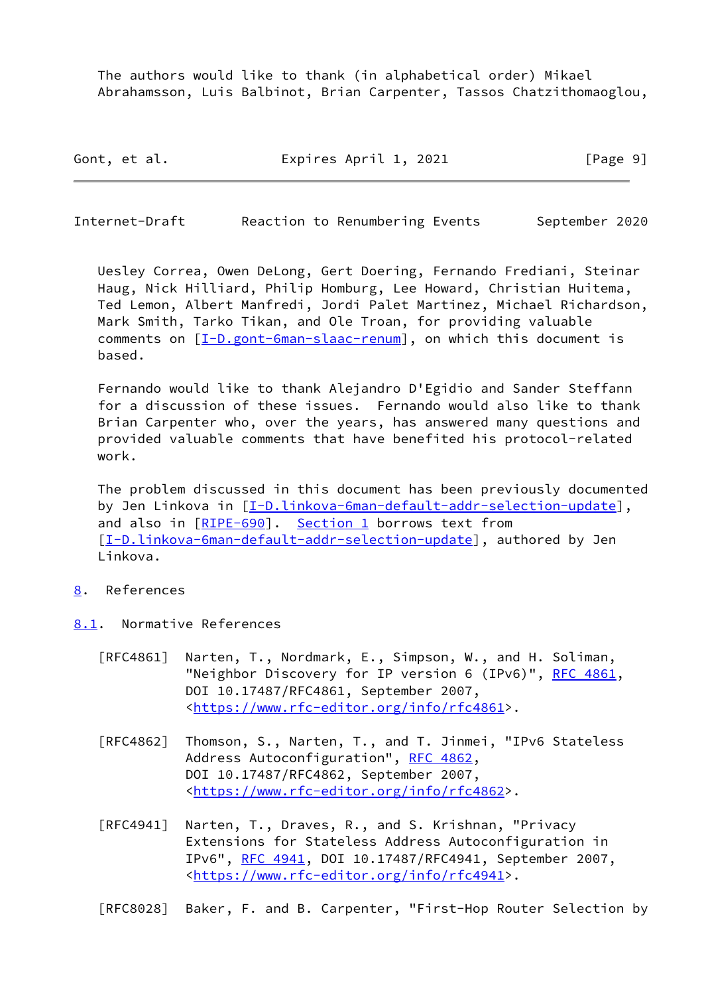The authors would like to thank (in alphabetical order) Mikael Abrahamsson, Luis Balbinot, Brian Carpenter, Tassos Chatzithomaoglou,

| Gont, et al. | Expires April 1, 2021 | [Page 9] |
|--------------|-----------------------|----------|
|--------------|-----------------------|----------|

<span id="page-10-1"></span>Internet-Draft Reaction to Renumbering Events September 2020

 Uesley Correa, Owen DeLong, Gert Doering, Fernando Frediani, Steinar Haug, Nick Hilliard, Philip Homburg, Lee Howard, Christian Huitema, Ted Lemon, Albert Manfredi, Jordi Palet Martinez, Michael Richardson, Mark Smith, Tarko Tikan, and Ole Troan, for providing valuable comments on  $[I-D.gont-Sman-slaac-renum]$ , on which this document is based.

 Fernando would like to thank Alejandro D'Egidio and Sander Steffann for a discussion of these issues. Fernando would also like to thank Brian Carpenter who, over the years, has answered many questions and provided valuable comments that have benefited his protocol-related work.

 The problem discussed in this document has been previously documented by Jen Linkova in [[I-D.linkova-6man-default-addr-selection-update](#page-12-2)], and also in [\[RIPE-690](#page-12-3)]. [Section 1](#page-1-0) borrows text from [\[I-D.linkova-6man-default-addr-selection-update](#page-12-2)], authored by Jen Linkova.

- <span id="page-10-0"></span>[8](#page-10-0). References
- <span id="page-10-2"></span>[8.1](#page-10-2). Normative References
	- [RFC4861] Narten, T., Nordmark, E., Simpson, W., and H. Soliman, "Neighbor Discovery for IP version 6 (IPv6)", [RFC 4861](https://datatracker.ietf.org/doc/pdf/rfc4861), DOI 10.17487/RFC4861, September 2007, <[https://www.rfc-editor.org/info/rfc4861>](https://www.rfc-editor.org/info/rfc4861).
	- [RFC4862] Thomson, S., Narten, T., and T. Jinmei, "IPv6 Stateless Address Autoconfiguration", [RFC 4862,](https://datatracker.ietf.org/doc/pdf/rfc4862) DOI 10.17487/RFC4862, September 2007, <[https://www.rfc-editor.org/info/rfc4862>](https://www.rfc-editor.org/info/rfc4862).
	- [RFC4941] Narten, T., Draves, R., and S. Krishnan, "Privacy Extensions for Stateless Address Autoconfiguration in IPv6", [RFC 4941](https://datatracker.ietf.org/doc/pdf/rfc4941), DOI 10.17487/RFC4941, September 2007, <[https://www.rfc-editor.org/info/rfc4941>](https://www.rfc-editor.org/info/rfc4941).

[RFC8028] Baker, F. and B. Carpenter, "First-Hop Router Selection by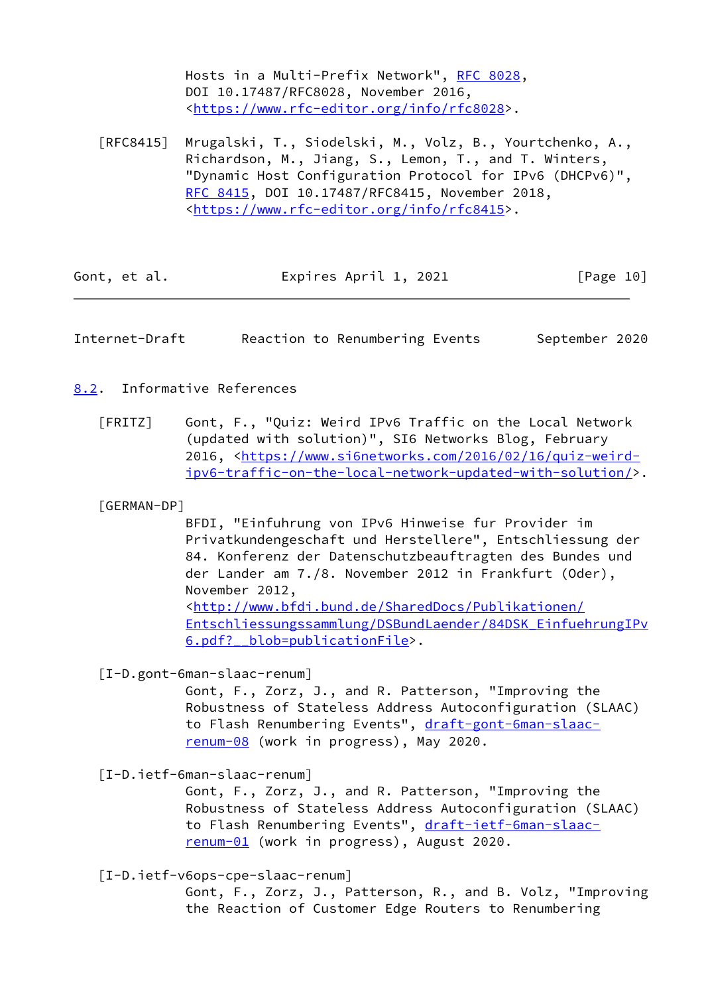Hosts in a Multi-Prefix Network", [RFC 8028](https://datatracker.ietf.org/doc/pdf/rfc8028), DOI 10.17487/RFC8028, November 2016, <[https://www.rfc-editor.org/info/rfc8028>](https://www.rfc-editor.org/info/rfc8028).

 [RFC8415] Mrugalski, T., Siodelski, M., Volz, B., Yourtchenko, A., Richardson, M., Jiang, S., Lemon, T., and T. Winters, "Dynamic Host Configuration Protocol for IPv6 (DHCPv6)", [RFC 8415,](https://datatracker.ietf.org/doc/pdf/rfc8415) DOI 10.17487/RFC8415, November 2018, <[https://www.rfc-editor.org/info/rfc8415>](https://www.rfc-editor.org/info/rfc8415).

| Gont, et al. | Expires April 1, 2021 | [Page 10] |
|--------------|-----------------------|-----------|
|--------------|-----------------------|-----------|

<span id="page-11-1"></span>Internet-Draft Reaction to Renumbering Events September 2020

# <span id="page-11-0"></span>[8.2](#page-11-0). Informative References

<span id="page-11-2"></span> [FRITZ] Gont, F., "Quiz: Weird IPv6 Traffic on the Local Network (updated with solution)", SI6 Networks Blog, February 2016, [<https://www.si6networks.com/2016/02/16/quiz-weird](https://www.si6networks.com/2016/02/16/quiz-weird-ipv6-traffic-on-the-local-network-updated-with-solution/) [ipv6-traffic-on-the-local-network-updated-with-solution/>](https://www.si6networks.com/2016/02/16/quiz-weird-ipv6-traffic-on-the-local-network-updated-with-solution/).

## <span id="page-11-3"></span>[GERMAN-DP]

 BFDI, "Einfuhrung von IPv6 Hinweise fur Provider im Privatkundengeschaft und Herstellere", Entschliessung der 84. Konferenz der Datenschutzbeauftragten des Bundes und der Lander am 7./8. November 2012 in Frankfurt (Oder), November 2012, <[http://www.bfdi.bund.de/SharedDocs/Publikationen/](http://www.bfdi.bund.de/SharedDocs/Publikationen/Entschliessungssammlung/DSBundLaender/84DSK_EinfuehrungIPv6.pdf?__blob=publicationFile) [Entschliessungssammlung/DSBundLaender/84DSK\\_EinfuehrungIPv](http://www.bfdi.bund.de/SharedDocs/Publikationen/Entschliessungssammlung/DSBundLaender/84DSK_EinfuehrungIPv6.pdf?__blob=publicationFile) 6.pdf? blob=publicationFile>.

<span id="page-11-6"></span>[I-D.gont-6man-slaac-renum]

 Gont, F., Zorz, J., and R. Patterson, "Improving the Robustness of Stateless Address Autoconfiguration (SLAAC) to Flash Renumbering Events", [draft-gont-6man-slaac](https://datatracker.ietf.org/doc/pdf/draft-gont-6man-slaac-renum-08) [renum-08](https://datatracker.ietf.org/doc/pdf/draft-gont-6man-slaac-renum-08) (work in progress), May 2020.

<span id="page-11-4"></span>[I-D.ietf-6man-slaac-renum]

 Gont, F., Zorz, J., and R. Patterson, "Improving the Robustness of Stateless Address Autoconfiguration (SLAAC) to Flash Renumbering Events", [draft-ietf-6man-slaac](https://datatracker.ietf.org/doc/pdf/draft-ietf-6man-slaac-renum-01) [renum-01](https://datatracker.ietf.org/doc/pdf/draft-ietf-6man-slaac-renum-01) (work in progress), August 2020.

<span id="page-11-5"></span>[I-D.ietf-v6ops-cpe-slaac-renum]

 Gont, F., Zorz, J., Patterson, R., and B. Volz, "Improving the Reaction of Customer Edge Routers to Renumbering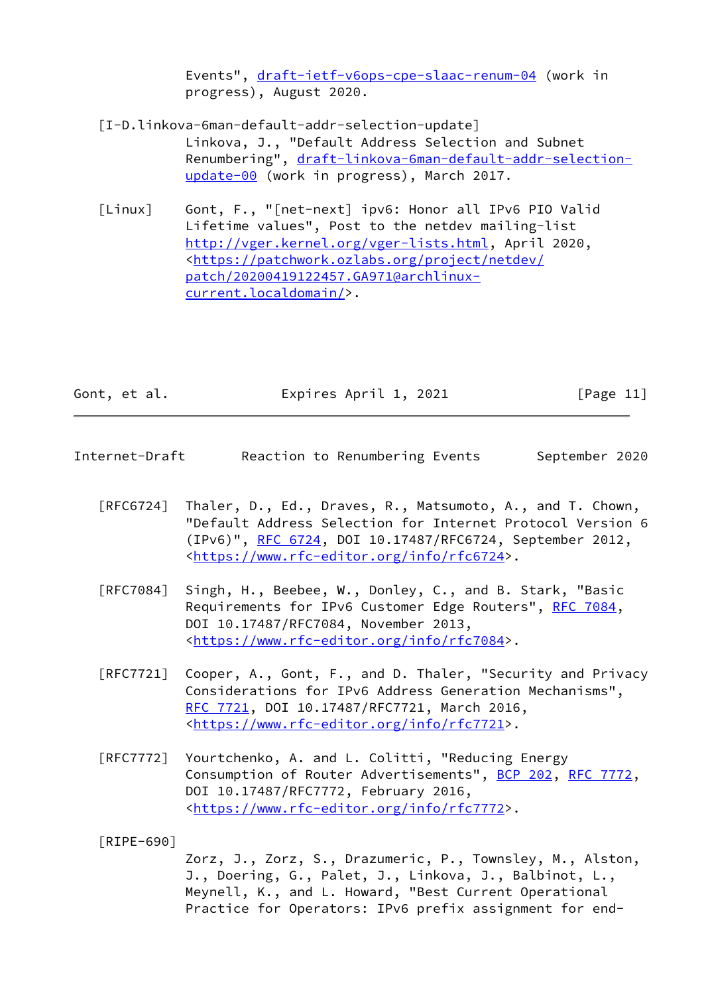Events", [draft-ietf-v6ops-cpe-slaac-renum-04](https://datatracker.ietf.org/doc/pdf/draft-ietf-v6ops-cpe-slaac-renum-04) (work in progress), August 2020.

- <span id="page-12-2"></span> [I-D.linkova-6man-default-addr-selection-update] Linkova, J., "Default Address Selection and Subnet Renumbering", [draft-linkova-6man-default-addr-selection](https://datatracker.ietf.org/doc/pdf/draft-linkova-6man-default-addr-selection-update-00) [update-00](https://datatracker.ietf.org/doc/pdf/draft-linkova-6man-default-addr-selection-update-00) (work in progress), March 2017.
- <span id="page-12-1"></span> [Linux] Gont, F., "[net-next] ipv6: Honor all IPv6 PIO Valid Lifetime values", Post to the netdev mailing-list <http://vger.kernel.org/vger-lists.html>, April 2020, <[https://patchwork.ozlabs.org/project/netdev/](https://patchwork.ozlabs.org/project/netdev/patch/20200419122457.GA971@archlinux-current.localdomain/) [patch/20200419122457.GA971@archlinux](https://patchwork.ozlabs.org/project/netdev/patch/20200419122457.GA971@archlinux-current.localdomain/) [current.localdomain/>](https://patchwork.ozlabs.org/project/netdev/patch/20200419122457.GA971@archlinux-current.localdomain/).

| Gont, et al. | Expires April 1, 2021 | [Page 11] |
|--------------|-----------------------|-----------|
|--------------|-----------------------|-----------|

- <span id="page-12-0"></span>Internet-Draft Reaction to Renumbering Events September 2020
	- [RFC6724] Thaler, D., Ed., Draves, R., Matsumoto, A., and T. Chown, "Default Address Selection for Internet Protocol Version 6 (IPv6)", [RFC 6724,](https://datatracker.ietf.org/doc/pdf/rfc6724) DOI 10.17487/RFC6724, September 2012, <[https://www.rfc-editor.org/info/rfc6724>](https://www.rfc-editor.org/info/rfc6724).
	- [RFC7084] Singh, H., Beebee, W., Donley, C., and B. Stark, "Basic Requirements for IPv6 Customer Edge Routers", [RFC 7084](https://datatracker.ietf.org/doc/pdf/rfc7084), DOI 10.17487/RFC7084, November 2013, <[https://www.rfc-editor.org/info/rfc7084>](https://www.rfc-editor.org/info/rfc7084).
	- [RFC7721] Cooper, A., Gont, F., and D. Thaler, "Security and Privacy Considerations for IPv6 Address Generation Mechanisms", [RFC 7721,](https://datatracker.ietf.org/doc/pdf/rfc7721) DOI 10.17487/RFC7721, March 2016, <[https://www.rfc-editor.org/info/rfc7721>](https://www.rfc-editor.org/info/rfc7721).
	- [RFC7772] Yourtchenko, A. and L. Colitti, "Reducing Energy Consumption of Router Advertisements", [BCP 202](https://datatracker.ietf.org/doc/pdf/bcp202), [RFC 7772,](https://datatracker.ietf.org/doc/pdf/rfc7772) DOI 10.17487/RFC7772, February 2016, <[https://www.rfc-editor.org/info/rfc7772>](https://www.rfc-editor.org/info/rfc7772).
	- [RIPE-690]

<span id="page-12-3"></span> Zorz, J., Zorz, S., Drazumeric, P., Townsley, M., Alston, J., Doering, G., Palet, J., Linkova, J., Balbinot, L., Meynell, K., and L. Howard, "Best Current Operational Practice for Operators: IPv6 prefix assignment for end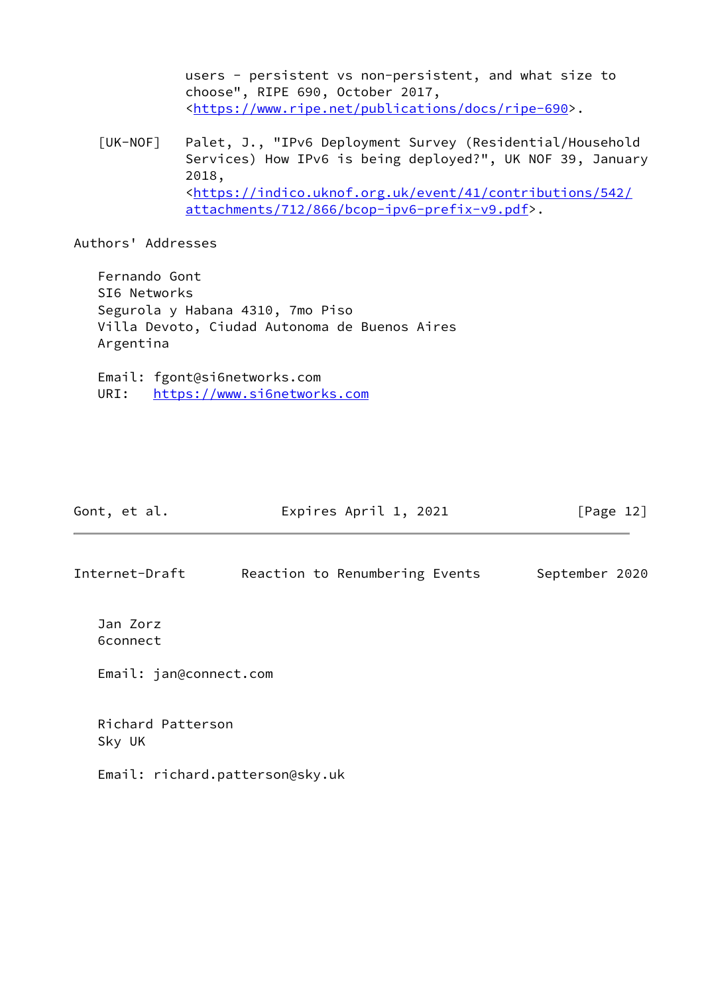users - persistent vs non-persistent, and what size to choose", RIPE 690, October 2017, <[https://www.ripe.net/publications/docs/ripe-690>](https://www.ripe.net/publications/docs/ripe-690).

<span id="page-13-0"></span> [UK-NOF] Palet, J., "IPv6 Deployment Survey (Residential/Household Services) How IPv6 is being deployed?", UK NOF 39, January 2018, <[https://indico.uknof.org.uk/event/41/contributions/542/](https://indico.uknof.org.uk/event/41/contributions/542/attachments/712/866/bcop-ipv6-prefix-v9.pdf) [attachments/712/866/bcop-ipv6-prefix-v9.pdf](https://indico.uknof.org.uk/event/41/contributions/542/attachments/712/866/bcop-ipv6-prefix-v9.pdf)>.

Authors' Addresses

 Fernando Gont SI6 Networks Segurola y Habana 4310, 7mo Piso Villa Devoto, Ciudad Autonoma de Buenos Aires Argentina

 Email: fgont@si6networks.com URI: <https://www.si6networks.com>

| Gont, et al.         | Expires April 1, 2021          | [Page 12]      |
|----------------------|--------------------------------|----------------|
| Internet-Draft       | Reaction to Renumbering Events | September 2020 |
| Jan Zorz<br>6connect |                                |                |

Email: jan@connect.com

 Richard Patterson Sky UK

Email: richard.patterson@sky.uk